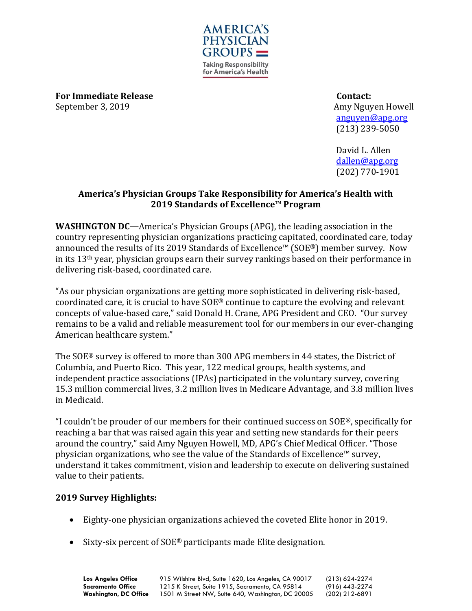

**For Immediate Release Contact:** September 3, 2019 **Amy Nguyen Howell** 

 [anguyen@apg.org](mailto:anguyen@apg.org) (213) 239-5050

David L. Allen [dallen@apg.org](mailto:dallen@apg.org) (202) 770-1901

## **America's Physician Groups Take Responsibility for America's Health with 2019 Standards of Excellence**™ **Program**

**WASHINGTON DC—**America's Physician Groups (APG), the leading association in the country representing physician organizations practicing capitated, coordinated care, today announced the results of its 2019 Standards of Excellence™ (SOE®) member survey. Now in its 13th year, physician groups earn their survey rankings based on their performance in delivering risk-based, coordinated care.

"As our physician organizations are getting more sophisticated in delivering risk-based, coordinated care, it is crucial to have SOE® continue to capture the evolving and relevant concepts of value-based care," said Donald H. Crane, APG President and CEO. "Our survey remains to be a valid and reliable measurement tool for our members in our ever-changing American healthcare system."

The SOE® survey is offered to more than 300 APG members in 44 states, the District of Columbia, and Puerto Rico. This year, 122 medical groups, health systems, and independent practice associations (IPAs) participated in the voluntary survey, covering 15.3 million commercial lives, 3.2 million lives in Medicare Advantage, and 3.8 million lives in Medicaid.

"I couldn't be prouder of our members for their continued success on  $\text{SOE}^{\circledast}$ , specifically for reaching a bar that was raised again this year and setting new standards for their peers around the country," said Amy Nguyen Howell, MD, APG's Chief Medical Officer. "Those physician organizations, who see the value of the Standards of Excellence™ survey, understand it takes commitment, vision and leadership to execute on delivering sustained value to their patients.

## **2019 Survey Highlights:**

- Eighty-one physician organizations achieved the coveted Elite honor in 2019.
- Sixty-six percent of SOE® participants made Elite designation.

**Los Angeles Office** 915 Wilshire Blvd, Suite 1620, Los Angeles, CA 90017 (213) 624-2274 **Sacramento Office** 1215 K Street, Suite 1915, Sacramento, CA 95814 (916) 443-2274 **Washington, DC Office** 1501 M Street NW, Suite 640, Washington, DC 20005 (202) 212-6891